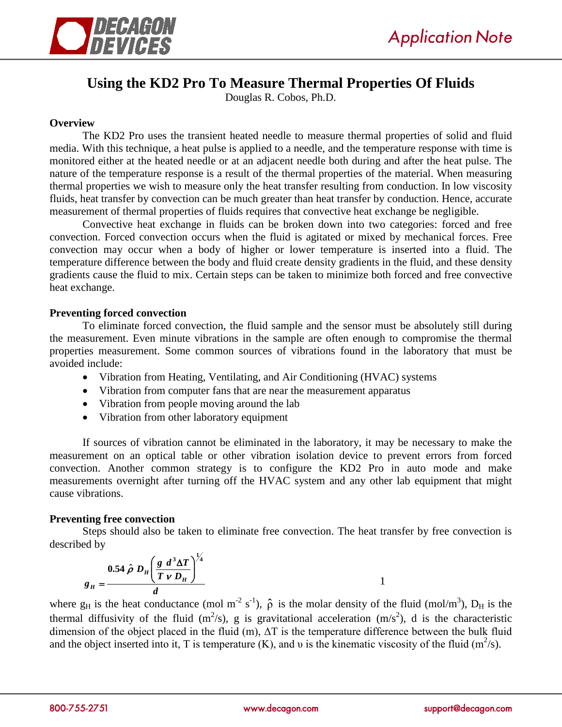

# **Using the KD2 Pro To Measure Thermal Properties Of Fluids**

Douglas R. Cobos, Ph.D.

## **Overview**

The KD2 Pro uses the transient heated needle to measure thermal properties of solid and fluid media. With this technique, a heat pulse is applied to a needle, and the temperature response with time is monitored either at the heated needle or at an adjacent needle both during and after the heat pulse. The nature of the temperature response is a result of the thermal properties of the material. When measuring thermal properties we wish to measure only the heat transfer resulting from conduction. In low viscosity fluids, heat transfer by convection can be much greater than heat transfer by conduction. Hence, accurate measurement of thermal properties of fluids requires that convective heat exchange be negligible.

Convective heat exchange in fluids can be broken down into two categories: forced and free convection. Forced convection occurs when the fluid is agitated or mixed by mechanical forces. Free convection may occur when a body of higher or lower temperature is inserted into a fluid. The temperature difference between the body and fluid create density gradients in the fluid, and these density gradients cause the fluid to mix. Certain steps can be taken to minimize both forced and free convective heat exchange.

## **Preventing forced convection**

To eliminate forced convection, the fluid sample and the sensor must be absolutely still during the measurement. Even minute vibrations in the sample are often enough to compromise the thermal properties measurement. Some common sources of vibrations found in the laboratory that must be avoided include:

- Vibration from Heating, Ventilating, and Air Conditioning (HVAC) systems
- Vibration from computer fans that are near the measurement apparatus
- Vibration from people moving around the lab
- Vibration from other laboratory equipment

If sources of vibration cannot be eliminated in the laboratory, it may be necessary to make the measurement on an optical table or other vibration isolation device to prevent errors from forced convection. Another common strategy is to configure the KD2 Pro in auto mode and make measurements overnight after turning off the HVAC system and any other lab equipment that might cause vibrations.

### **Preventing free convection**

Steps should also be taken to eliminate free convection. The heat transfer by free convection is described by

$$
g_H = \frac{0.54 \hat{\rho} D_H \left(\frac{g d^3 \Delta T}{T v D_H}\right)^{\frac{1}{4}}}{d}
$$

where  $g_H$  is the heat conductance (mol m<sup>-2</sup> s<sup>-1</sup>),  $\hat{\rho}$  is the molar density of the fluid (mol/m<sup>3</sup>),  $D_H$  is the thermal diffusivity of the fluid  $(m^2/s)$ , g is gravitational acceleration  $(m/s^2)$ , d is the characteristic dimension of the object placed in the fluid (m), ΔT is the temperature difference between the bulk fluid and the object inserted into it, T is temperature (K), and v is the kinematic viscosity of the fluid ( $m^2/s$ ).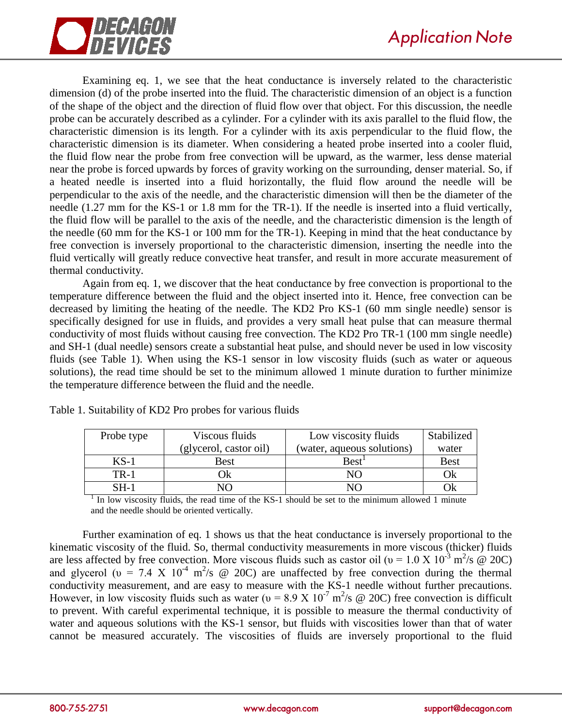

Examining eq. 1, we see that the heat conductance is inversely related to the characteristic dimension (d) of the probe inserted into the fluid. The characteristic dimension of an object is a function of the shape of the object and the direction of fluid flow over that object. For this discussion, the needle probe can be accurately described as a cylinder. For a cylinder with its axis parallel to the fluid flow, the characteristic dimension is its length. For a cylinder with its axis perpendicular to the fluid flow, the characteristic dimension is its diameter. When considering a heated probe inserted into a cooler fluid, the fluid flow near the probe from free convection will be upward, as the warmer, less dense material near the probe is forced upwards by forces of gravity working on the surrounding, denser material. So, if a heated needle is inserted into a fluid horizontally, the fluid flow around the needle will be perpendicular to the axis of the needle, and the characteristic dimension will then be the diameter of the needle (1.27 mm for the KS-1 or 1.8 mm for the TR-1). If the needle is inserted into a fluid vertically, the fluid flow will be parallel to the axis of the needle, and the characteristic dimension is the length of the needle (60 mm for the KS-1 or 100 mm for the TR-1). Keeping in mind that the heat conductance by free convection is inversely proportional to the characteristic dimension, inserting the needle into the fluid vertically will greatly reduce convective heat transfer, and result in more accurate measurement of thermal conductivity.

Again from eq. 1, we discover that the heat conductance by free convection is proportional to the temperature difference between the fluid and the object inserted into it. Hence, free convection can be decreased by limiting the heating of the needle. The KD2 Pro KS-1 (60 mm single needle) sensor is specifically designed for use in fluids, and provides a very small heat pulse that can measure thermal conductivity of most fluids without causing free convection. The KD2 Pro TR-1 (100 mm single needle) and SH-1 (dual needle) sensors create a substantial heat pulse, and should never be used in low viscosity fluids (see Table 1). When using the KS-1 sensor in low viscosity fluids (such as water or aqueous solutions), the read time should be set to the minimum allowed 1 minute duration to further minimize the temperature difference between the fluid and the needle.

| Probe type  | Viscous fluids         | Low viscosity fluids       | Stabilized  |
|-------------|------------------------|----------------------------|-------------|
|             | (glycerol, castor oil) | (water, aqueous solutions) | water       |
| $KS-1$      | Best                   | Best <sup>1</sup>          | <b>Best</b> |
| <b>TR-1</b> | Оk                     | NΟ                         | Ok          |
| SH-1        |                        |                            | Ok          |

Table 1. Suitability of KD2 Pro probes for various fluids

<sup>1</sup> In low viscosity fluids, the read time of the KS-1 should be set to the minimum allowed 1 minute and the needle should be oriented vertically.

Further examination of eq. 1 shows us that the heat conductance is inversely proportional to the kinematic viscosity of the fluid. So, thermal conductivity measurements in more viscous (thicker) fluids are less affected by free convection. More viscous fluids such as castor oil ( $v = 1.0 \text{ X } 10^{-3} \text{ m}^2/\text{s } \textcircled{e}$  20C) and glycerol ( $v = 7.4$  X  $10^{-4}$  m<sup>2</sup>/s @ 20C) are unaffected by free convection during the thermal conductivity measurement, and are easy to measure with the KS-1 needle without further precautions. However, in low viscosity fluids such as water ( $v = 8.9 \text{ X } 10^{-7} \text{ m}^2/\text{s}$  @ 20C) free convection is difficult to prevent. With careful experimental technique, it is possible to measure the thermal conductivity of water and aqueous solutions with the KS-1 sensor, but fluids with viscosities lower than that of water cannot be measured accurately. The viscosities of fluids are inversely proportional to the fluid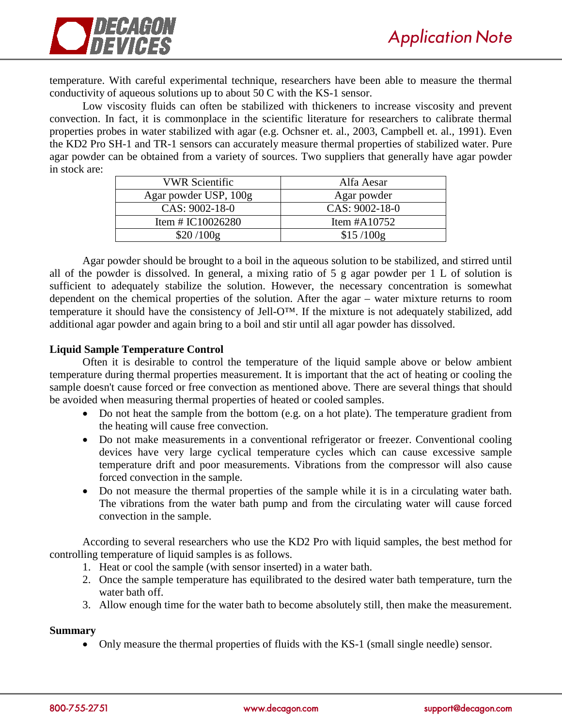

temperature. With careful experimental technique, researchers have been able to measure the thermal conductivity of aqueous solutions up to about 50 C with the KS-1 sensor.

Low viscosity fluids can often be stabilized with thickeners to increase viscosity and prevent convection. In fact, it is commonplace in the scientific literature for researchers to calibrate thermal properties probes in water stabilized with agar (e.g. Ochsner et. al., 2003, Campbell et. al., 1991). Even the KD2 Pro SH-1 and TR-1 sensors can accurately measure thermal properties of stabilized water. Pure agar powder can be obtained from a variety of sources. Two suppliers that generally have agar powder in stock are:

| <b>VWR Scientific</b> | Alfa Aesar      |
|-----------------------|-----------------|
| Agar powder USP, 100g | Agar powder     |
| CAS: 9002-18-0        | CAS: 9002-18-0  |
| Item # $IC10026280$   | Item $\#A10752$ |
| \$20/100g             | \$15/100g       |

Agar powder should be brought to a boil in the aqueous solution to be stabilized, and stirred until all of the powder is dissolved. In general, a mixing ratio of 5 g agar powder per 1 L of solution is sufficient to adequately stabilize the solution. However, the necessary concentration is somewhat dependent on the chemical properties of the solution. After the agar – water mixture returns to room temperature it should have the consistency of Jell-O™. If the mixture is not adequately stabilized, add additional agar powder and again bring to a boil and stir until all agar powder has dissolved.

### **Liquid Sample Temperature Control**

Often it is desirable to control the temperature of the liquid sample above or below ambient temperature during thermal properties measurement. It is important that the act of heating or cooling the sample doesn't cause forced or free convection as mentioned above. There are several things that should be avoided when measuring thermal properties of heated or cooled samples.

- Do not heat the sample from the bottom (e.g. on a hot plate). The temperature gradient from the heating will cause free convection.
- Do not make measurements in a conventional refrigerator or freezer. Conventional cooling devices have very large cyclical temperature cycles which can cause excessive sample temperature drift and poor measurements. Vibrations from the compressor will also cause forced convection in the sample.
- Do not measure the thermal properties of the sample while it is in a circulating water bath. The vibrations from the water bath pump and from the circulating water will cause forced convection in the sample.

According to several researchers who use the KD2 Pro with liquid samples, the best method for controlling temperature of liquid samples is as follows.

- 1. Heat or cool the sample (with sensor inserted) in a water bath.
- 2. Once the sample temperature has equilibrated to the desired water bath temperature, turn the water bath off.
- 3. Allow enough time for the water bath to become absolutely still, then make the measurement.

### **Summary**

• Only measure the thermal properties of fluids with the KS-1 (small single needle) sensor.